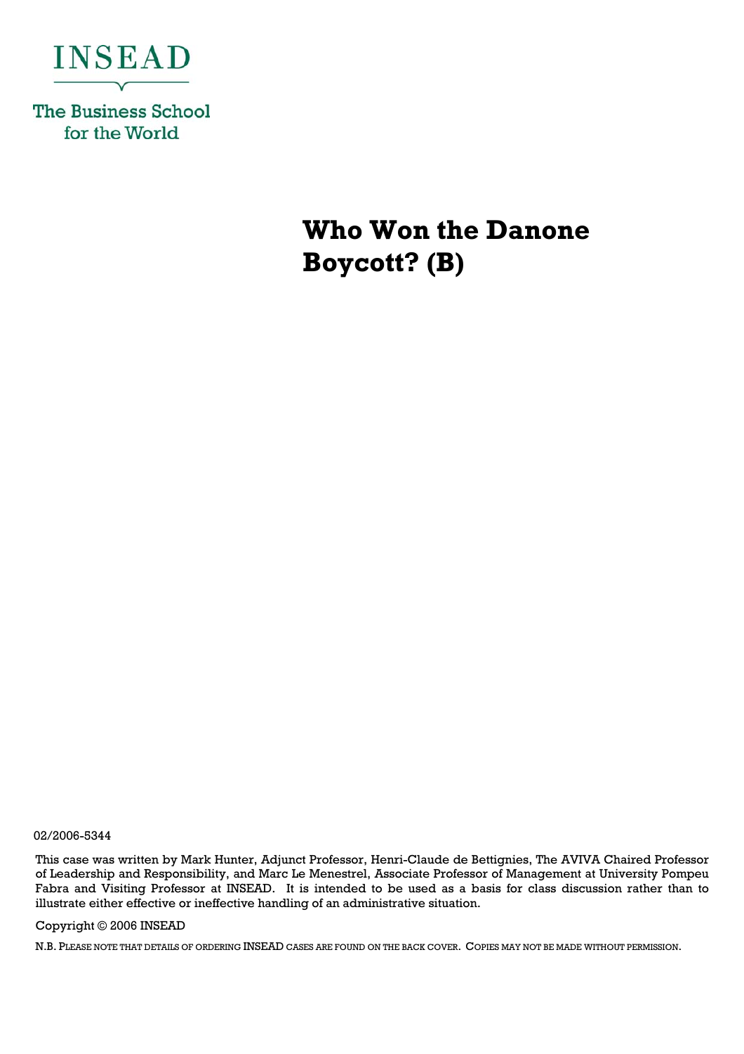

**The Business School** for the World

> **Who Won the Danone Boycott? (B)**

02/2006-5344

This case was written by Mark Hunter, Adjunct Professor, Henri-Claude de Bettignies, The AVIVA Chaired Professor of Leadership and Responsibility, and Marc Le Menestrel, Associate Professor of Management at University Pompeu Fabra and Visiting Professor at INSEAD. It is intended to be used as a basis for class discussion rather than to illustrate either effective or ineffective handling of an administrative situation.

## Copyright © 2006 INSEAD

N.B. PLEASE NOTE THAT DETAILS OF ORDERING INSEAD CASES ARE FOUND ON THE BACK COVER. COPIES MAY NOT BE MADE WITHOUT PERMISSION.